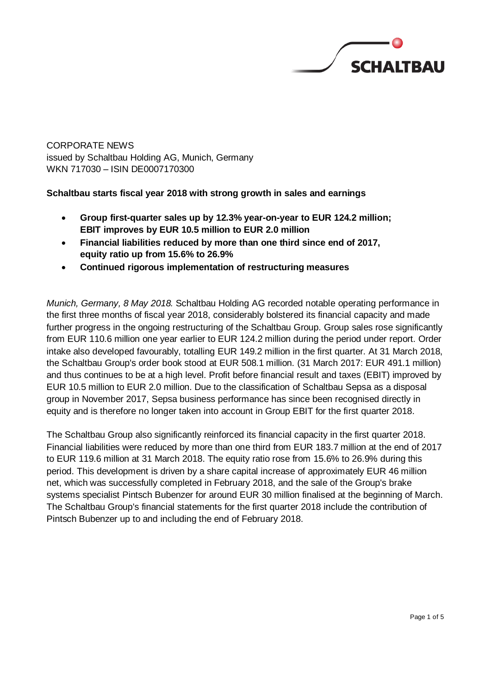

CORPORATE NEWS issued by Schaltbau Holding AG, Munich, Germany WKN 717030 – ISIN DE0007170300

**Schaltbau starts fiscal year 2018 with strong growth in sales and earnings**

- **Group first-quarter sales up by 12.3% year-on-year to EUR 124.2 million; EBIT improves by EUR 10.5 million to EUR 2.0 million**
- **Financial liabilities reduced by more than one third since end of 2017, equity ratio up from 15.6% to 26.9%**
- **Continued rigorous implementation of restructuring measures**

*Munich, Germany, 8 May 2018.* Schaltbau Holding AG recorded notable operating performance in the first three months of fiscal year 2018, considerably bolstered its financial capacity and made further progress in the ongoing restructuring of the Schaltbau Group. Group sales rose significantly from EUR 110.6 million one year earlier to EUR 124.2 million during the period under report. Order intake also developed favourably, totalling EUR 149.2 million in the first quarter. At 31 March 2018, the Schaltbau Group's order book stood at EUR 508.1 million. (31 March 2017: EUR 491.1 million) and thus continues to be at a high level. Profit before financial result and taxes (EBIT) improved by EUR 10.5 million to EUR 2.0 million. Due to the classification of Schaltbau Sepsa as a disposal group in November 2017, Sepsa business performance has since been recognised directly in equity and is therefore no longer taken into account in Group EBIT for the first quarter 2018.

The Schaltbau Group also significantly reinforced its financial capacity in the first quarter 2018. Financial liabilities were reduced by more than one third from EUR 183.7 million at the end of 2017 to EUR 119.6 million at 31 March 2018. The equity ratio rose from 15.6% to 26.9% during this period. This development is driven by a share capital increase of approximately EUR 46 million net, which was successfully completed in February 2018, and the sale of the Group's brake systems specialist Pintsch Bubenzer for around EUR 30 million finalised at the beginning of March. The Schaltbau Group's financial statements for the first quarter 2018 include the contribution of Pintsch Bubenzer up to and including the end of February 2018.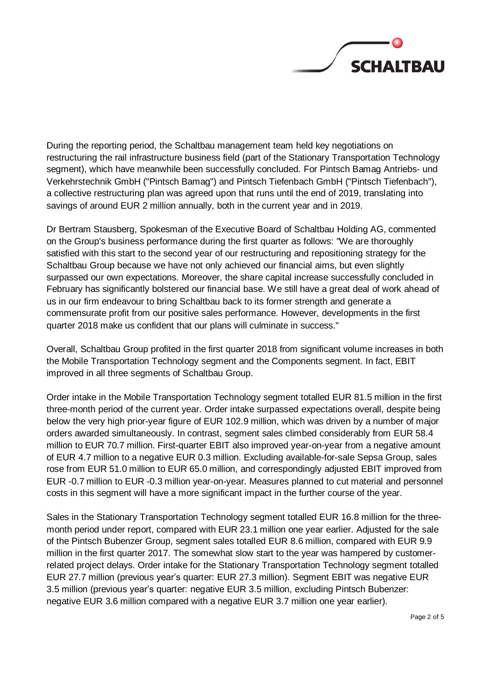

During the reporting period, the Schaltbau management team held key negotiations on restructuring the rail infrastructure business field (part of the Stationary Transportation Technology segment), which have meanwhile been successfully concluded. For Pintsch Bamag Antriebs- und Verkehrstechnik GmbH ("Pintsch Bamag") and Pintsch Tiefenbach GmbH ("Pintsch Tiefenbach"), a collective restructuring plan was agreed upon that runs until the end of 2019, translating into savings of around EUR 2 million annually, both in the current year and in 2019.

Dr Bertram Stausberg, Spokesman of the Executive Board of Schaltbau Holding AG, commented on the Group's business performance during the first quarter as follows: "We are thoroughly satisfied with this start to the second year of our restructuring and repositioning strategy for the Schaltbau Group because we have not only achieved our financial aims, but even slightly surpassed our own expectations. Moreover, the share capital increase successfully concluded in February has significantly bolstered our financial base. We still have a great deal of work ahead of us in our firm endeavour to bring Schaltbau back to its former strength and generate a commensurate profit from our positive sales performance. However, developments in the first quarter 2018 make us confident that our plans will culminate in success."

Overall, Schaltbau Group profited in the first quarter 2018 from significant volume increases in both the Mobile Transportation Technology segment and the Components segment. In fact, EBIT improved in all three segments of Schaltbau Group.

Order intake in the Mobile Transportation Technology segment totalled EUR 81.5 million in the first three-month period of the current year. Order intake surpassed expectations overall, despite being below the very high prior-year figure of EUR 102.9 million, which was driven by a number of major orders awarded simultaneously. In contrast, segment sales climbed considerably from EUR 58.4 million to EUR 70.7 million. First-quarter EBIT also improved year-on-year from a negative amount of EUR 4.7 million to a negative EUR 0.3 million. Excluding available-for-sale Sepsa Group, sales rose from EUR 51.0 million to EUR 65.0 million, and correspondingly adjusted EBIT improved from EUR -0.7 million to EUR -0.3 million year-on-year. Measures planned to cut material and personnel costs in this segment will have a more significant impact in the further course of the year.

Sales in the Stationary Transportation Technology segment totalled EUR 16.8 million for the threemonth period under report, compared with EUR 23.1 million one year earlier. Adjusted for the sale of the Pintsch Bubenzer Group, segment sales totalled EUR 8.6 million, compared with EUR 9.9 million in the first quarter 2017. The somewhat slow start to the year was hampered by customerrelated project delays. Order intake for the Stationary Transportation Technology segment totalled EUR 27.7 million (previous year's quarter: EUR 27.3 million). Segment EBIT was negative EUR 3.5 million (previous year's quarter: negative EUR 3.5 million, excluding Pintsch Bubenzer: negative EUR 3.6 million compared with a negative EUR 3.7 million one year earlier).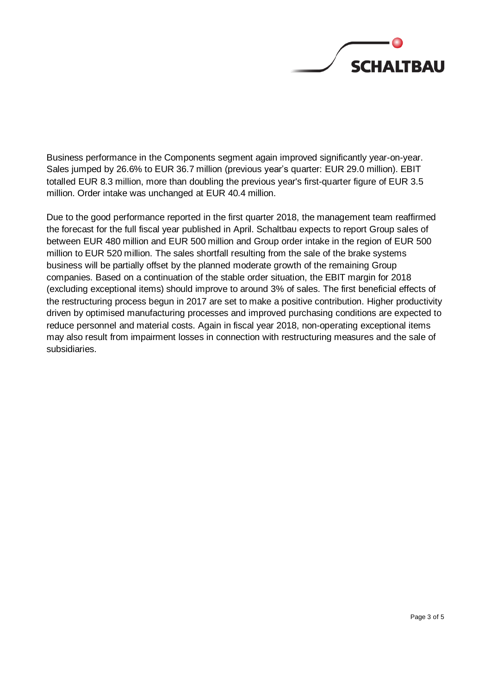

Business performance in the Components segment again improved significantly year-on-year. Sales jumped by 26.6% to EUR 36.7 million (previous year's quarter: EUR 29.0 million). EBIT totalled EUR 8.3 million, more than doubling the previous year's first-quarter figure of EUR 3.5 million. Order intake was unchanged at EUR 40.4 million.

Due to the good performance reported in the first quarter 2018, the management team reaffirmed the forecast for the full fiscal year published in April. Schaltbau expects to report Group sales of between EUR 480 million and EUR 500 million and Group order intake in the region of EUR 500 million to EUR 520 million. The sales shortfall resulting from the sale of the brake systems business will be partially offset by the planned moderate growth of the remaining Group companies. Based on a continuation of the stable order situation, the EBIT margin for 2018 (excluding exceptional items) should improve to around 3% of sales. The first beneficial effects of the restructuring process begun in 2017 are set to make a positive contribution. Higher productivity driven by optimised manufacturing processes and improved purchasing conditions are expected to reduce personnel and material costs. Again in fiscal year 2018, non-operating exceptional items may also result from impairment losses in connection with restructuring measures and the sale of subsidiaries.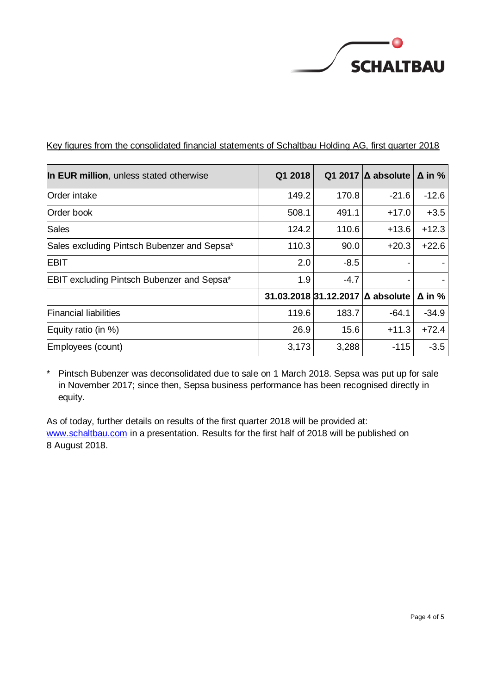

| In EUR million, unless stated otherwise           | Q1 2018 |        | Q1 2017 $\Delta$ absolute        | $\Delta$ in % |
|---------------------------------------------------|---------|--------|----------------------------------|---------------|
| Order intake                                      | 149.2   | 170.8  | $-21.6$                          | $-12.6$       |
| Order book                                        | 508.1   | 491.1  | $+17.0$                          | $+3.5$        |
| Sales                                             | 124.2   | 110.6  | $+13.6$                          | $+12.3$       |
| Sales excluding Pintsch Bubenzer and Sepsa*       | 110.3   | 90.0   | $+20.3$                          | $+22.6$       |
| <b>EBIT</b>                                       | 2.0     | $-8.5$ |                                  |               |
| <b>EBIT excluding Pintsch Bubenzer and Sepsa*</b> | 1.9     | $-4.7$ |                                  |               |
|                                                   |         |        | 31.03.2018 31.12.2017 ∆ absolute | $\Delta$ in % |
| <b>Financial liabilities</b>                      | 119.6   | 183.7  | $-64.1$                          | $-34.9$       |
| Equity ratio (in %)                               | 26.9    | 15.6   | $+11.3$                          | $+72.4$       |
| Employees (count)                                 | 3,173   | 3,288  | $-115$                           | $-3.5$        |

Key figures from the consolidated financial statements of Schaltbau Holding AG, first quarter 2018

\* Pintsch Bubenzer was deconsolidated due to sale on 1 March 2018. Sepsa was put up for sale in November 2017; since then, Sepsa business performance has been recognised directly in equity.

As of today, further details on results of the first quarter 2018 will be provided at: [www.schaltbau.com](http://www.schaltbau.com/) in a presentation. Results for the first half of 2018 will be published on 8 August 2018.